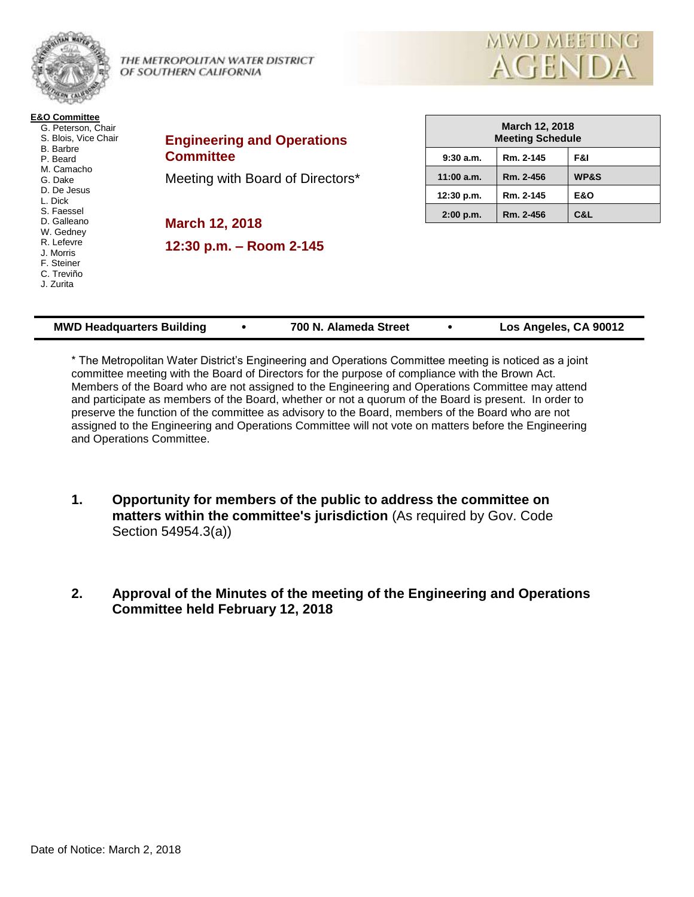

THE METROPOLITAN WATER DISTRICT OF SOUTHERN CALIFORNIA



| <b>E&amp;O Committee</b> |
|--------------------------|
| G. Peterson, Chair       |
| S. Blois, Vice Chair     |
| <b>B.</b> Barbre         |
| P. Beard                 |
| M. Camacho               |
| G. Dake                  |
| D. De Jesus              |
| L. Dick                  |
| S. Faessel               |
| D. Galleano              |
| W. Gedney                |
| R. Lefevre               |
| J. Morris                |
| F. Steiner               |
| C. Treviño               |
| J. Zurita                |
|                          |

**Engineering and Operations Committee**

Meeting with Board of Directors\*

**March 12, 2018 12:30 p.m. – Room 2-145**

| March 12, 2018<br><b>Meeting Schedule</b> |           |                 |
|-------------------------------------------|-----------|-----------------|
| 9:30a.m.                                  | Rm. 2-145 | F&I             |
| $11:00$ a.m.                              | Rm. 2-456 | <b>WP&amp;S</b> |
| 12:30 p.m.                                | Rm. 2-145 | <b>E&amp;O</b>  |
| $2:00$ p.m.                               | Rm. 2-456 | C&L             |

| Los Angeles, CA 90012<br>700 N. Alameda Street<br><b>MWD Headquarters Building</b> |
|------------------------------------------------------------------------------------|
|------------------------------------------------------------------------------------|

\* The Metropolitan Water District's Engineering and Operations Committee meeting is noticed as a joint committee meeting with the Board of Directors for the purpose of compliance with the Brown Act. Members of the Board who are not assigned to the Engineering and Operations Committee may attend and participate as members of the Board, whether or not a quorum of the Board is present. In order to preserve the function of the committee as advisory to the Board, members of the Board who are not assigned to the Engineering and Operations Committee will not vote on matters before the Engineering and Operations Committee.

- **1. Opportunity for members of the public to address the committee on matters within the committee's jurisdiction** (As required by Gov. Code Section 54954.3(a))
- **2. Approval of the Minutes of the meeting of the Engineering and Operations Committee held February 12, 2018**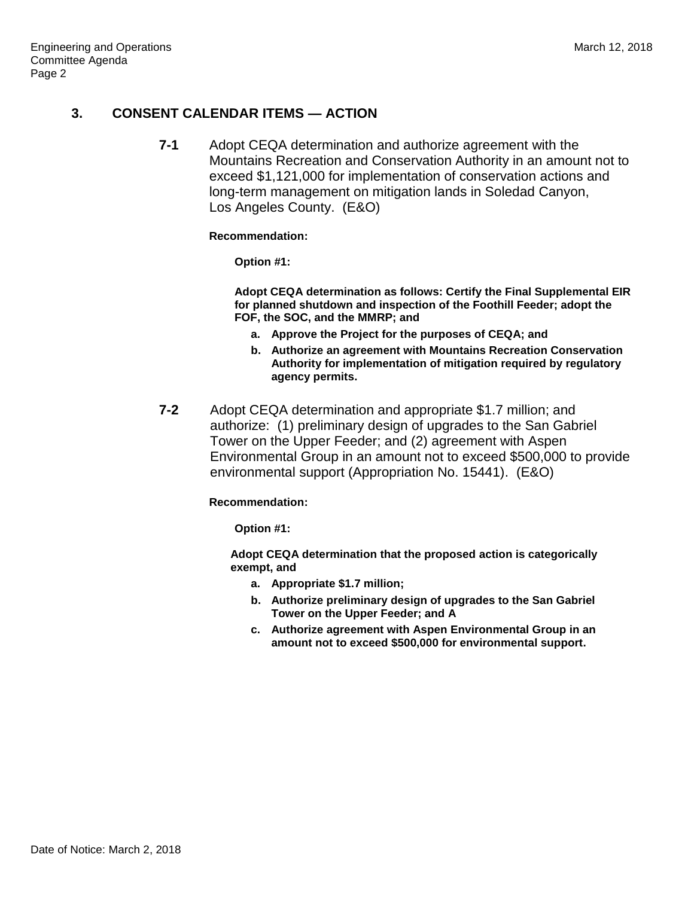# **3. CONSENT CALENDAR ITEMS — ACTION**

**7-1** Adopt CEQA determination and authorize agreement with the Mountains Recreation and Conservation Authority in an amount not to exceed \$1,121,000 for implementation of conservation actions and long-term management on mitigation lands in Soledad Canyon, Los Angeles County. (E&O)

#### **Recommendation:**

**Option #1:**

**Adopt CEQA determination as follows: Certify the Final Supplemental EIR for planned shutdown and inspection of the Foothill Feeder; adopt the FOF, the SOC, and the MMRP; and** 

- **a. Approve the Project for the purposes of CEQA; and**
- **b. Authorize an agreement with Mountains Recreation Conservation Authority for implementation of mitigation required by regulatory agency permits.**
- **7-2** Adopt CEQA determination and appropriate \$1.7 million; and authorize: (1) preliminary design of upgrades to the San Gabriel Tower on the Upper Feeder; and (2) agreement with Aspen Environmental Group in an amount not to exceed \$500,000 to provide environmental support (Appropriation No. 15441). (E&O)

### **Recommendation:**

**Option #1:**

**Adopt CEQA determination that the proposed action is categorically exempt, and**

- **a. Appropriate \$1.7 million;**
- **b. Authorize preliminary design of upgrades to the San Gabriel Tower on the Upper Feeder; and A**
- **c. Authorize agreement with Aspen Environmental Group in an amount not to exceed \$500,000 for environmental support.**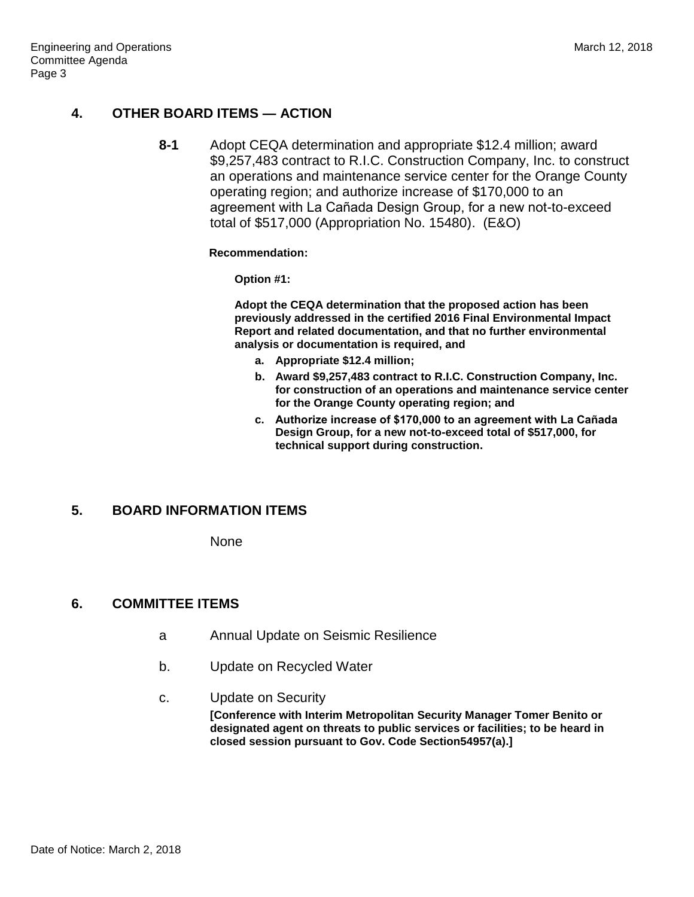# **4. OTHER BOARD ITEMS — ACTION**

**8-1** Adopt CEQA determination and appropriate \$12.4 million; award \$9,257,483 contract to R.I.C. Construction Company, Inc. to construct an operations and maintenance service center for the Orange County operating region; and authorize increase of \$170,000 to an agreement with La Cañada Design Group, for a new not-to-exceed total of \$517,000 (Appropriation No. 15480). (E&O)

#### **Recommendation:**

**Option #1:**

**Adopt the CEQA determination that the proposed action has been previously addressed in the certified 2016 Final Environmental Impact Report and related documentation, and that no further environmental analysis or documentation is required, and**

- **a. Appropriate \$12.4 million;**
- **b. Award \$9,257,483 contract to R.I.C. Construction Company, Inc. for construction of an operations and maintenance service center for the Orange County operating region; and**
- **c. Authorize increase of \$170,000 to an agreement with La Can͂ ada Design Group, for a new not-to-exceed total of \$517,000, for technical support during construction.**

# **5. BOARD INFORMATION ITEMS**

None

### **6. COMMITTEE ITEMS**

- a Annual Update on Seismic Resilience
- b. Update on Recycled Water
- c. Update on Security

**[Conference with Interim Metropolitan Security Manager Tomer Benito or designated agent on threats to public services or facilities; to be heard in closed session pursuant to Gov. Code Section54957(a).]**